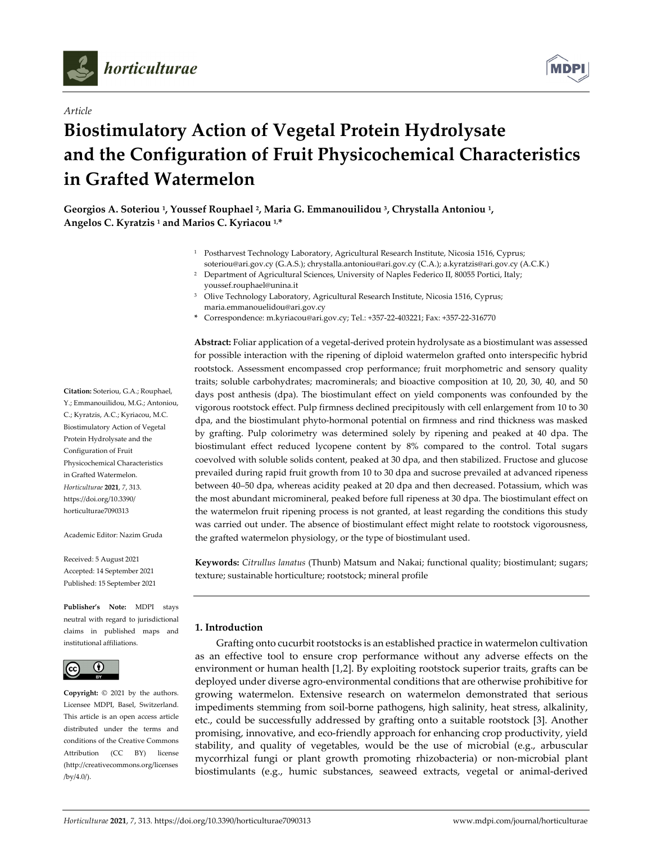

*Article*



# **Biostimulatory Action of Vegetal Protein Hydrolysate and the Configuration of Fruit Physicochemical Characteristics in Grafted Watermelon**

**Georgios A. Soteriou 1, Youssef Rouphael 2, Maria G. Emmanouilidou 3, Chrystalla Antoniou 1, Angelos C. Kyratzis <sup>1</sup> and Marios C. Kyriacou 1,\***

- <sup>1</sup> Postharvest Technology Laboratory, Agricultural Research Institute, Nicosia 1516, Cyprus; soteriou@ari.gov.cy (G.A.S.); chrystalla.antoniou@ari.gov.cy (C.A.); a.kyratzis@ari.gov.cy (A.C.K.)
- <sup>2</sup> Department of Agricultural Sciences, University of Naples Federico II, 80055 Portici, Italy; youssef.rouphael@unina.it
- <sup>3</sup> Olive Technology Laboratory, Agricultural Research Institute, Nicosia 1516, Cyprus; maria.emmanouelidou@ari.gov.cy
- **\*** Correspondence: m.kyriacou@ari.gov.cy; Tel.: +357‐22‐403221; Fax: +357‐22‐316770

**Abstract:** Foliar application of a vegetal‐derived protein hydrolysate as a biostimulant was assessed for possible interaction with the ripening of diploid watermelon grafted onto interspecific hybrid rootstock. Assessment encompassed crop performance; fruit morphometric and sensory quality traits; soluble carbohydrates; macrominerals; and bioactive composition at 10, 20, 30, 40, and 50 days post anthesis (dpa). The biostimulant effect on yield components was confounded by the vigorous rootstock effect. Pulp firmness declined precipitously with cell enlargement from 10 to 30 dpa, and the biostimulant phyto‐hormonal potential on firmness and rind thickness was masked by grafting. Pulp colorimetry was determined solely by ripening and peaked at 40 dpa. The biostimulant effect reduced lycopene content by 8% compared to the control. Total sugars coevolved with soluble solids content, peaked at 30 dpa, and then stabilized. Fructose and glucose prevailed during rapid fruit growth from 10 to 30 dpa and sucrose prevailed at advanced ripeness between 40–50 dpa, whereas acidity peaked at 20 dpa and then decreased. Potassium, which was the most abundant micromineral, peaked before full ripeness at 30 dpa. The biostimulant effect on the watermelon fruit ripening process is not granted, at least regarding the conditions this study was carried out under. The absence of biostimulant effect might relate to rootstock vigorousness, the grafted watermelon physiology, or the type of biostimulant used.

**Keywords:** *Citrullus lanatus* (Thunb) Matsum and Nakai; functional quality; biostimulant; sugars; texture; sustainable horticulture; rootstock; mineral profile

# **1. Introduction**

Grafting onto cucurbit rootstocks is an established practice in watermelon cultivation as an effective tool to ensure crop performance without any adverse effects on the environment or human health [1,2]. By exploiting rootstock superior traits, grafts can be deployed under diverse agro‐environmental conditions that are otherwise prohibitive for growing watermelon. Extensive research on watermelon demonstrated that serious impediments stemming from soil‐borne pathogens, high salinity, heat stress, alkalinity, etc., could be successfully addressed by grafting onto a suitable rootstock [3]. Another promising, innovative, and eco-friendly approach for enhancing crop productivity, yield stability, and quality of vegetables, would be the use of microbial (e.g., arbuscular mycorrhizal fungi or plant growth promoting rhizobacteria) or non‐microbial plant biostimulants (e.g., humic substances, seaweed extracts, vegetal or animal‐derived

**Citation:** Soteriou, G.A.; Rouphael, Y.; Emmanouilidou, M.G.; Antoniou, C.; Kyratzis, A.C.; Kyriacou, M.C. Biostimulatory Action of Vegetal Protein Hydrolysate and the Configuration of Fruit Physicochemical Characteristics in Grafted Watermelon. *Horticulturae* **2021**, *7*, 313. https://doi.org/10.3390/ horticulturae7090313

Academic Editor: Nazim Gruda

Received: 5 August 2021 Accepted: 14 September 2021 Published: 15 September 2021

**Publisher's Note:** MDPI stays neutral with regard to jurisdictional claims in published maps and institutional affiliations.



**Copyright:** © 2021 by the authors. Licensee MDPI, Basel, Switzerland. This article is an open access article distributed under the terms and conditions of the Creative Commons Attribution (CC BY) license (http://creativecommons.org/licenses /by/4.0/).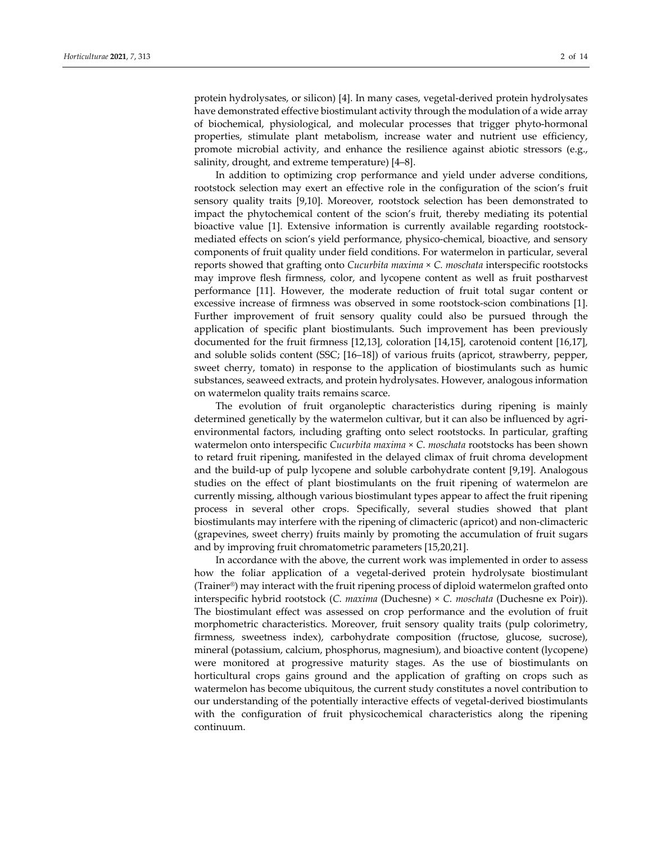protein hydrolysates, or silicon) [4]. In many cases, vegetal-derived protein hydrolysates have demonstrated effective biostimulant activity through the modulation of a wide array of biochemical, physiological, and molecular processes that trigger phyto‐hormonal properties, stimulate plant metabolism, increase water and nutrient use efficiency, promote microbial activity, and enhance the resilience against abiotic stressors (e.g., salinity, drought, and extreme temperature) [4–8].

In addition to optimizing crop performance and yield under adverse conditions, rootstock selection may exert an effective role in the configuration of the scion's fruit sensory quality traits [9,10]. Moreover, rootstock selection has been demonstrated to impact the phytochemical content of the scion's fruit, thereby mediating its potential bioactive value [1]. Extensive information is currently available regarding rootstockmediated effects on scion's yield performance, physico‐chemical, bioactive, and sensory components of fruit quality under field conditions. For watermelon in particular, several reports showed that grafting onto *Cucurbita maxima* × *C. moschata* interspecific rootstocks may improve flesh firmness, color, and lycopene content as well as fruit postharvest performance [11]. However, the moderate reduction of fruit total sugar content or excessive increase of firmness was observed in some rootstock‐scion combinations [1]. Further improvement of fruit sensory quality could also be pursued through the application of specific plant biostimulants. Such improvement has been previously documented for the fruit firmness [12,13], coloration [14,15], carotenoid content [16,17], and soluble solids content (SSC; [16–18]) of various fruits (apricot, strawberry, pepper, sweet cherry, tomato) in response to the application of biostimulants such as humic substances, seaweed extracts, and protein hydrolysates. However, analogous information on watermelon quality traits remains scarce.

The evolution of fruit organoleptic characteristics during ripening is mainly determined genetically by the watermelon cultivar, but it can also be influenced by agrienvironmental factors, including grafting onto select rootstocks. In particular, grafting watermelon onto interspecific *Cucurbita maxima* × *C. moschata* rootstocks has been shown to retard fruit ripening, manifested in the delayed climax of fruit chroma development and the build-up of pulp lycopene and soluble carbohydrate content [9,19]. Analogous studies on the effect of plant biostimulants on the fruit ripening of watermelon are currently missing, although various biostimulant types appear to affect the fruit ripening process in several other crops. Specifically, several studies showed that plant biostimulants may interfere with the ripening of climacteric (apricot) and non‐climacteric (grapevines, sweet cherry) fruits mainly by promoting the accumulation of fruit sugars and by improving fruit chromatometric parameters [15,20,21].

In accordance with the above, the current work was implemented in order to assess how the foliar application of a vegetal-derived protein hydrolysate biostimulant (Trainer®) may interact with the fruit ripening process of diploid watermelon grafted onto interspecific hybrid rootstock (*C. maxima* (Duchesne) × *C. moschata* (Duchesne ex Poir)). The biostimulant effect was assessed on crop performance and the evolution of fruit morphometric characteristics. Moreover, fruit sensory quality traits (pulp colorimetry, firmness, sweetness index), carbohydrate composition (fructose, glucose, sucrose), mineral (potassium, calcium, phosphorus, magnesium), and bioactive content (lycopene) were monitored at progressive maturity stages. As the use of biostimulants on horticultural crops gains ground and the application of grafting on crops such as watermelon has become ubiquitous, the current study constitutes a novel contribution to our understanding of the potentially interactive effects of vegetal‐derived biostimulants with the configuration of fruit physicochemical characteristics along the ripening continuum.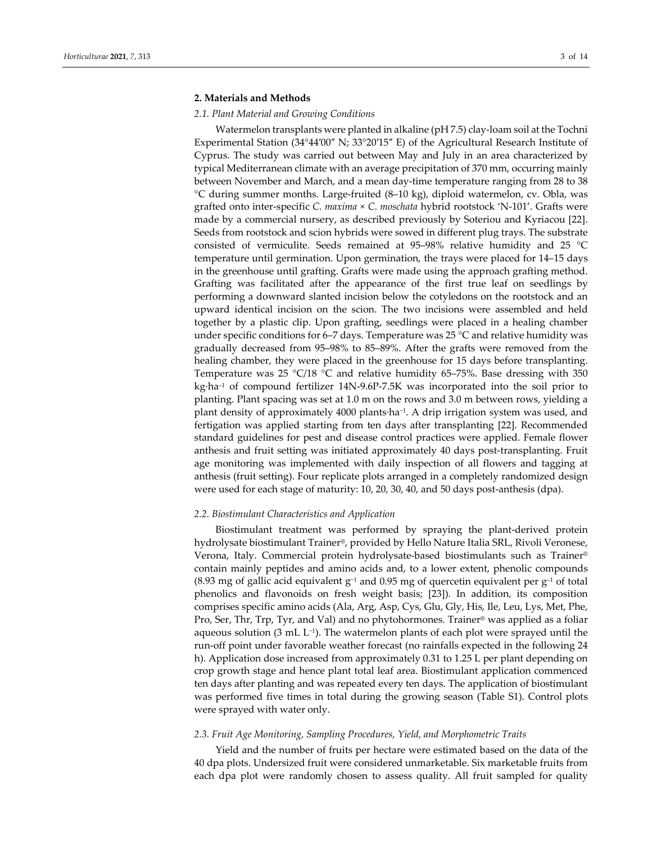# **2. Materials and Methods**

#### *2.1. Plant Material and Growing Conditions*

Watermelon transplants were planted in alkaline (pH 7.5) clay‐loam soil at the Tochni Experimental Station (34°44′00″ N; 33°20′15″ E) of the Agricultural Research Institute of Cyprus. The study was carried out between May and July in an area characterized by typical Mediterranean climate with an average precipitation of 370 mm, occurring mainly between November and March, and a mean day‐time temperature ranging from 28 to 38 °C during summer months. Large‐fruited (8–10 kg), diploid watermelon, cv. Obla, was grafted onto inter‐specific *C*. *maxima* × *C*. *moschata* hybrid rootstock 'N‐101'. Grafts were made by a commercial nursery, as described previously by Soteriou and Kyriacou [22]. Seeds from rootstock and scion hybrids were sowed in different plug trays. The substrate consisted of vermiculite. Seeds remained at 95–98% relative humidity and 25 °C temperature until germination. Upon germination, the trays were placed for 14–15 days in the greenhouse until grafting. Grafts were made using the approach grafting method. Grafting was facilitated after the appearance of the first true leaf on seedlings by performing a downward slanted incision below the cotyledons on the rootstock and an upward identical incision on the scion. The two incisions were assembled and held together by a plastic clip. Upon grafting, seedlings were placed in a healing chamber under specific conditions for 6–7 days. Temperature was 25  $^{\circ}$ C and relative humidity was gradually decreased from 95–98% to 85–89%. After the grafts were removed from the healing chamber, they were placed in the greenhouse for 15 days before transplanting. Temperature was 25 °C/18 °C and relative humidity 65–75%. Base dressing with 350 kg∙ha–1 of compound fertilizer 14N‐9.6P‐7.5K was incorporated into the soil prior to planting. Plant spacing was set at 1.0 m on the rows and 3.0 m between rows, yielding a plant density of approximately 4000 plants∙ha−1. A drip irrigation system was used, and fertigation was applied starting from ten days after transplanting [22]. Recommended standard guidelines for pest and disease control practices were applied. Female flower anthesis and fruit setting was initiated approximately 40 days post‐transplanting. Fruit age monitoring was implemented with daily inspection of all flowers and tagging at anthesis (fruit setting). Four replicate plots arranged in a completely randomized design were used for each stage of maturity: 10, 20, 30, 40, and 50 days post-anthesis (dpa).

# *2.2. Biostimulant Characteristics and Application*

Biostimulant treatment was performed by spraying the plant‐derived protein hydrolysate biostimulant Trainer®, provided by Hello Nature Italia SRL, Rivoli Veronese, Verona, Italy. Commercial protein hydrolysate‐based biostimulants such as Trainer® contain mainly peptides and amino acids and, to a lower extent, phenolic compounds (8.93 mg of gallic acid equivalent g<sup>-1</sup> and 0.95 mg of quercetin equivalent per g<sup>-1</sup> of total phenolics and flavonoids on fresh weight basis; [23]). In addition, its composition comprises specific amino acids (Ala, Arg, Asp, Cys, Glu, Gly, His, Ile, Leu, Lys, Met, Phe, Pro, Ser, Thr, Trp, Tyr, and Val) and no phytohormones. Trainer® was applied as a foliar aqueous solution (3 mL L−1). The watermelon plants of each plot were sprayed until the run‐off point under favorable weather forecast (no rainfalls expected in the following 24 h). Application dose increased from approximately 0.31 to 1.25 L per plant depending on crop growth stage and hence plant total leaf area. Biostimulant application commenced ten days after planting and was repeated every ten days. The application of biostimulant was performed five times in total during the growing season (Table S1). Control plots were sprayed with water only.

## *2.3. Fruit Age Monitoring, Sampling Procedures, Yield, and Morphometric Traits*

Yield and the number of fruits per hectare were estimated based on the data of the 40 dpa plots. Undersized fruit were considered unmarketable. Six marketable fruits from each dpa plot were randomly chosen to assess quality. All fruit sampled for quality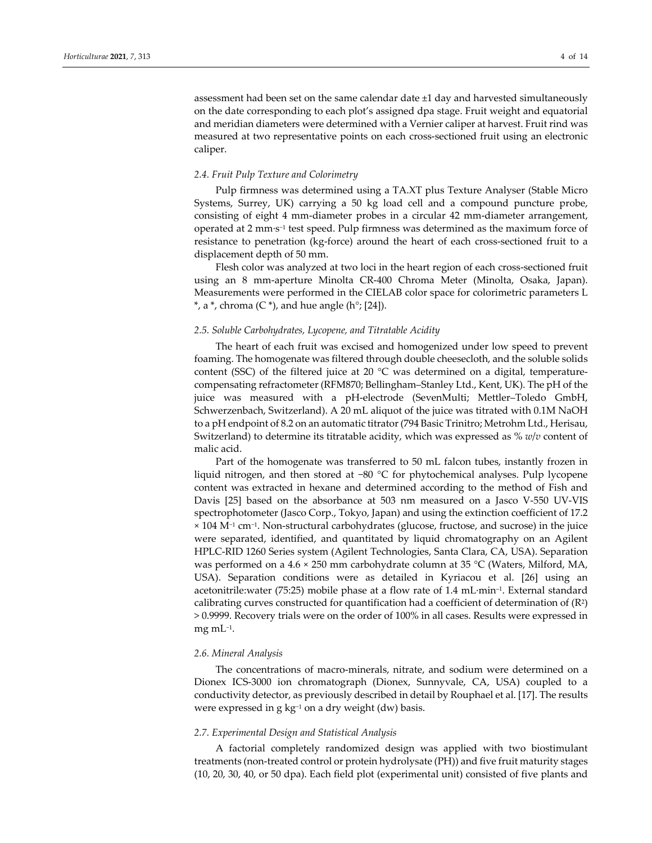assessment had been set on the same calendar date ±1 day and harvested simultaneously on the date corresponding to each plot's assigned dpa stage. Fruit weight and equatorial and meridian diameters were determined with a Vernier caliper at harvest. Fruit rind was measured at two representative points on each cross‐sectioned fruit using an electronic caliper.

# *2.4. Fruit Pulp Texture and Colorimetry*

Pulp firmness was determined using a TA.XT plus Texture Analyser (Stable Micro Systems, Surrey, UK) carrying a 50 kg load cell and a compound puncture probe, consisting of eight 4 mm‐diameter probes in a circular 42 mm‐diameter arrangement, operated at 2 mm∙s−<sup>1</sup> test speed. Pulp firmness was determined as the maximum force of resistance to penetration (kg-force) around the heart of each cross-sectioned fruit to a displacement depth of 50 mm.

Flesh color was analyzed at two loci in the heart region of each cross-sectioned fruit using an 8 mm‐aperture Minolta CR‐400 Chroma Meter (Minolta, Osaka, Japan). Measurements were performed in the CIELAB color space for colorimetric parameters L  $^*$ , a  $^*$ , chroma (C $^*$ ), and hue angle (h $^{\circ}$ ; [24]).

## *2.5. Soluble Carbohydrates, Lycopene, and Titratable Acidity*

The heart of each fruit was excised and homogenized under low speed to prevent foaming. The homogenate was filtered through double cheesecloth, and the soluble solids content (SSC) of the filtered juice at 20  $^{\circ}$ C was determined on a digital, temperaturecompensating refractometer (RFM870; Bellingham–Stanley Ltd., Kent, UK). The pH of the juice was measured with a pH-electrode (SevenMulti; Mettler-Toledo GmbH, Schwerzenbach, Switzerland). A 20 mL aliquot of the juice was titrated with 0.1M NaOH to a pH endpoint of 8.2 on an automatic titrator(794 Basic Trinitro; Metrohm Ltd., Herisau, Switzerland) to determine its titratable acidity, which was expressed as % *w*/*v* content of malic acid.

Part of the homogenate was transferred to 50 mL falcon tubes, instantly frozen in liquid nitrogen, and then stored at −80 °C for phytochemical analyses. Pulp lycopene content was extracted in hexane and determined according to the method of Fish and Davis [25] based on the absorbance at 503 nm measured on a Jasco V-550 UV-VIS spectrophotometer (Jasco Corp., Tokyo, Japan) and using the extinction coefficient of 17.2 × 104 M−<sup>1</sup> cm−1. Non‐structural carbohydrates (glucose, fructose, and sucrose) in the juice were separated, identified, and quantitated by liquid chromatography on an Agilent HPLC‐RID 1260 Series system (Agilent Technologies, Santa Clara, CA, USA). Separation was performed on a 4.6 × 250 mm carbohydrate column at 35 °C (Waters, Milford, MA, USA). Separation conditions were as detailed in Kyriacou et al. [26] using an acetonitrile:water (75:25) mobile phase at a flow rate of 1.4 mL∙min–1. External standard calibrating curves constructed for quantification had a coefficient of determination of  $(R<sup>2</sup>)$ > 0.9999. Recovery trials were on the order of 100% in all cases. Results were expressed in mg m $L^{-1}$ .

## *2.6. Mineral Analysis*

The concentrations of macro‐minerals, nitrate, and sodium were determined on a Dionex ICS‐3000 ion chromatograph (Dionex, Sunnyvale, CA, USA) coupled to a conductivity detector, as previously described in detail by Rouphael et al. [17]. The results were expressed in g kg<sup>-1</sup> on a dry weight (dw) basis.

## *2.7. Experimental Design and Statistical Analysis*

A factorial completely randomized design was applied with two biostimulant treatments (non‐treated control or protein hydrolysate (PH)) and five fruit maturity stages (10, 20, 30, 40, or 50 dpa). Each field plot (experimental unit) consisted of five plants and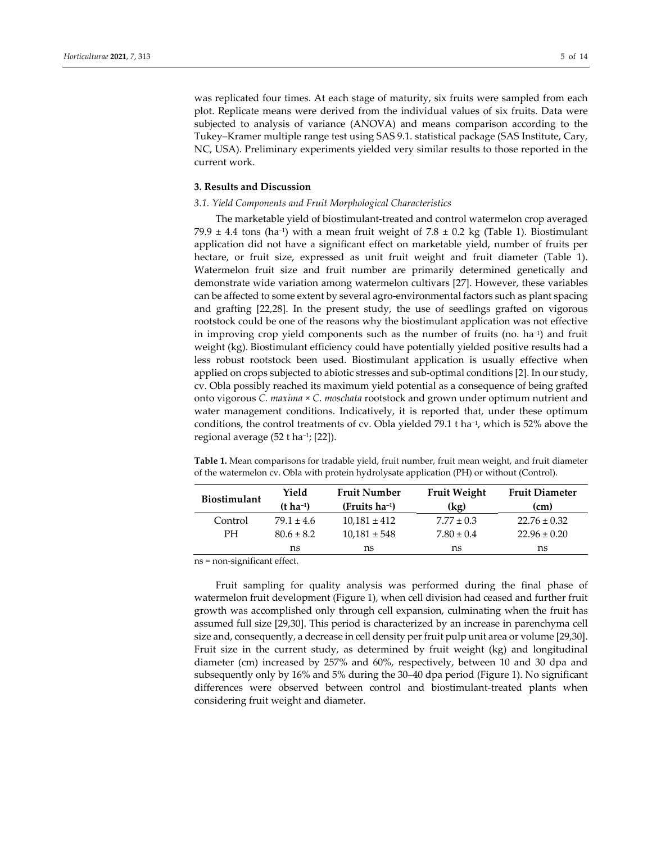was replicated four times. At each stage of maturity, six fruits were sampled from each plot. Replicate means were derived from the individual values of six fruits. Data were subjected to analysis of variance (ANOVA) and means comparison according to the Tukey–Kramer multiple range test using SAS 9.1. statistical package (SAS Institute, Cary, NC, USA). Preliminary experiments yielded very similar results to those reported in the current work.

# **3. Results and Discussion**

## *3.1. Yield Components and Fruit Morphological Characteristics*

The marketable yield of biostimulant‐treated and control watermelon crop averaged 79.9 ± 4.4 tons (ha<sup>-1</sup>) with a mean fruit weight of 7.8 ± 0.2 kg (Table 1). Biostimulant application did not have a significant effect on marketable yield, number of fruits per hectare, or fruit size, expressed as unit fruit weight and fruit diameter (Table 1). Watermelon fruit size and fruit number are primarily determined genetically and demonstrate wide variation among watermelon cultivars [27]. However, these variables can be affected to some extent by several agro‐environmental factors such as plant spacing and grafting [22,28]. In the present study, the use of seedlings grafted on vigorous rootstock could be one of the reasons why the biostimulant application was not effective in improving crop yield components such as the number of fruits (no. ha−1) and fruit weight (kg). Biostimulant efficiency could have potentially yielded positive results had a less robust rootstock been used. Biostimulant application is usually effective when applied on crops subjected to abiotic stresses and sub‐optimal conditions [2]. In our study, cv. Obla possibly reached its maximum yield potential as a consequence of being grafted onto vigorous *C. maxima* × *C. moschata* rootstock and grown under optimum nutrient and water management conditions. Indicatively, it is reported that, under these optimum conditions, the control treatments of cv. Obla yielded 79.1 t ha−1, which is 52% above the regional average (52 t ha−1; [22]).

**Table 1.** Mean comparisons for tradable yield, fruit number, fruit mean weight, and fruit diameter of the watermelon cv. Obla with protein hydrolysate application (PH) or without (Control).

| <b>Biostimulant</b> | Yield            | <b>Fruit Number</b> | <b>Fruit Weight</b> | <b>Fruit Diameter</b> |  |  |
|---------------------|------------------|---------------------|---------------------|-----------------------|--|--|
|                     | $(t \, ha^{-1})$ | $(Fruits ha-1)$     | (kg)                | (cm)                  |  |  |
| Control             | $79.1 \pm 4.6$   | $10,181 \pm 412$    | $7.77 \pm 0.3$      | $22.76 \pm 0.32$      |  |  |
| <b>PH</b>           | $80.6 \pm 8.2$   | $10,181 \pm 548$    | $7.80 \pm 0.4$      | $22.96 \pm 0.20$      |  |  |
|                     | ns               | ns                  | ns                  | ns                    |  |  |

ns = non‐significant effect.

Fruit sampling for quality analysis was performed during the final phase of watermelon fruit development (Figure 1), when cell division had ceased and further fruit growth was accomplished only through cell expansion, culminating when the fruit has assumed full size [29,30]. This period is characterized by an increase in parenchyma cell size and, consequently, a decrease in cell density per fruit pulp unit area or volume [29,30]. Fruit size in the current study, as determined by fruit weight (kg) and longitudinal diameter (cm) increased by 257% and 60%, respectively, between 10 and 30 dpa and subsequently only by 16% and 5% during the 30–40 dpa period (Figure 1). No significant differences were observed between control and biostimulant‐treated plants when considering fruit weight and diameter.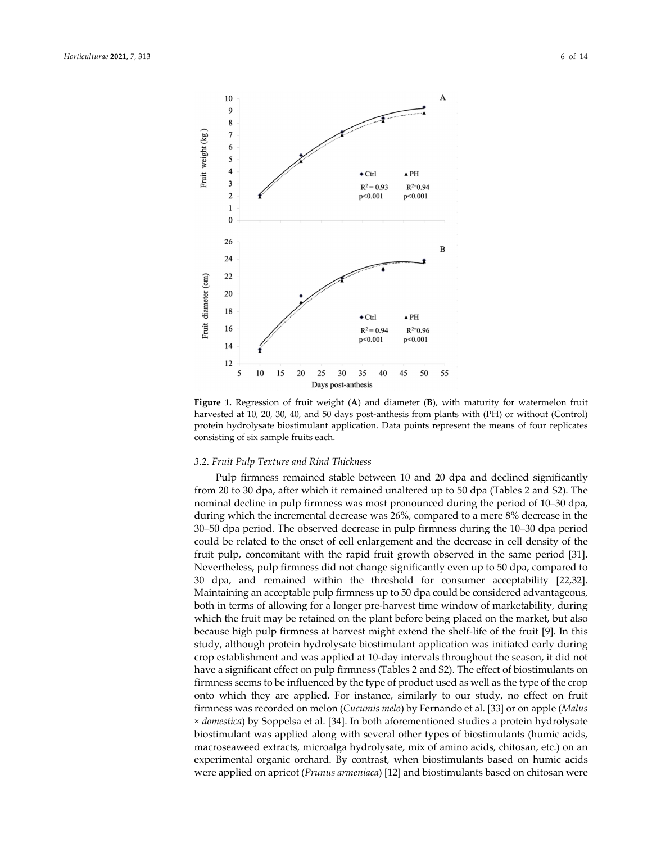

**Figure 1.** Regression of fruit weight (**A**) and diameter (**B**), with maturity for watermelon fruit harvested at 10, 20, 30, 40, and 50 days post-anthesis from plants with (PH) or without (Control) protein hydrolysate biostimulant application. Data points represent the means of four replicates consisting of six sample fruits each.

# *3.2. Fruit Pulp Texture and Rind Thickness*

Pulp firmness remained stable between 10 and 20 dpa and declined significantly from 20 to 30 dpa, after which it remained unaltered up to 50 dpa (Tables 2 and S2). The nominal decline in pulp firmness was most pronounced during the period of 10–30 dpa, during which the incremental decrease was 26%, compared to a mere 8% decrease in the 30–50 dpa period. The observed decrease in pulp firmness during the 10–30 dpa period could be related to the onset of cell enlargement and the decrease in cell density of the fruit pulp, concomitant with the rapid fruit growth observed in the same period [31]. Nevertheless, pulp firmness did not change significantly even up to 50 dpa, compared to 30 dpa, and remained within the threshold for consumer acceptability [22,32]. Maintaining an acceptable pulp firmness up to 50 dpa could be considered advantageous, both in terms of allowing for a longer pre‐harvest time window of marketability, during which the fruit may be retained on the plant before being placed on the market, but also because high pulp firmness at harvest might extend the shelf-life of the fruit [9]. In this study, although protein hydrolysate biostimulant application was initiated early during crop establishment and was applied at 10‐day intervals throughout the season, it did not have a significant effect on pulp firmness (Tables 2 and S2). The effect of biostimulants on firmness seems to be influenced by the type of product used as well as the type of the crop onto which they are applied. For instance, similarly to our study, no effect on fruit firmness was recorded on melon (*Cucumis melo*) by Fernando et al. [33] or on apple (*Malus* × *domestica*) by Soppelsa et al. [34]. In both aforementioned studies a protein hydrolysate biostimulant was applied along with several other types of biostimulants (humic acids, macroseaweed extracts, microalga hydrolysate, mix of amino acids, chitosan, etc.) on an experimental organic orchard. By contrast, when biostimulants based on humic acids were applied on apricot (*Prunus armeniaca*) [12] and biostimulants based on chitosan were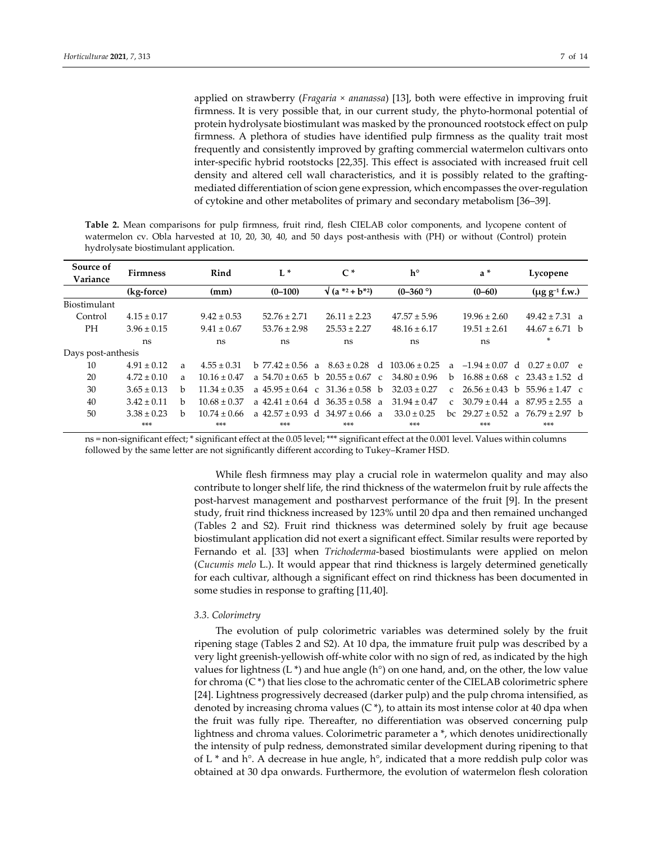applied on strawberry (*Fragaria × ananassa*) [13], both were effective in improving fruit firmness. It is very possible that, in our current study, the phyto-hormonal potential of protein hydrolysate biostimulant was masked by the pronounced rootstock effect on pulp firmness. A plethora of studies have identified pulp firmness as the quality trait most frequently and consistently improved by grafting commercial watermelon cultivars onto inter‐specific hybrid rootstocks [22,35]. This effect is associated with increased fruit cell density and altered cell wall characteristics, and it is possibly related to the grafting‐ mediated differentiation of scion gene expression, which encompasses the over-regulation of cytokine and other metabolites of primary and secondary metabolism [36–39].

**Table 2.** Mean comparisons for pulp firmness, fruit rind, flesh CIELAB color components, and lycopene content of watermelon cv. Obla harvested at 10, 20, 30, 40, and 50 days post-anthesis with (PH) or without (Control) protein hydrolysate biostimulant application.

| Source of<br>Variance | <b>Firmness</b> |    | Rind             | $L^*$                |               | $C^*$                    |               | $h^{\circ}$      |               | $a^*$              |                | Lycopene                              |        |
|-----------------------|-----------------|----|------------------|----------------------|---------------|--------------------------|---------------|------------------|---------------|--------------------|----------------|---------------------------------------|--------|
|                       | (kg-force)      |    | (mm)             | $(0-100)$            |               | $\sqrt{(a^{*2}+b^{*2})}$ |               | $(0-360)$        |               | $(0 - 60)$         |                | $(\mu g g^{-1} f.w.)$                 |        |
| Biostimulant          |                 |    |                  |                      |               |                          |               |                  |               |                    |                |                                       |        |
| Control               | $4.15 \pm 0.17$ |    | $9.42 \pm 0.53$  | $52.76 \pm 2.71$     |               | $26.11 \pm 2.23$         |               | $47.57 \pm 5.96$ |               | $19.96 \pm 2.60$   |                | $49.42 \pm 7.31$ a                    |        |
| PН                    | $3.96 \pm 0.15$ |    | $9.41 \pm 0.67$  | $53.76 \pm 2.98$     |               | $25.53 \pm 2.27$         |               | $48.16 \pm 6.17$ |               | $19.51 \pm 2.61$   |                | $44.67 \pm 6.71$ b                    |        |
|                       | ns              |    | ns               | ns                   |               | ns                       |               | ns               |               | ns                 |                | ×.                                    |        |
| Days post-anthesis    |                 |    |                  |                      |               |                          |               |                  |               |                    |                |                                       |        |
| 10                    | $4.91 \pm 0.12$ | a  | $4.55 + 0.31$    | $h$ 77.42 + 0.56 a   |               | $8.63 + 0.28$            | $\mathsf{d}$  | $103.06 + 0.25$  | $\mathbf{a}$  | $-1.94 \pm 0.07$ d |                | $0.27 + 0.07$                         | $\rho$ |
| 20                    | $4.72 \pm 0.10$ | a  | $10.16 \pm 0.47$ | a $54.70 \pm 0.65$ b |               | $20.55 \pm 0.67$         | $\mathcal{C}$ | $34.80 \pm 0.96$ | <sub>b</sub>  |                    |                | $16.88 \pm 0.68$ c $23.43 \pm 1.52$ d |        |
| 30                    | $3.65 \pm 0.13$ | b. | $11.34 \pm 0.35$ | a $45.95 \pm 0.64$   | $\mathcal{C}$ | $31.36 \pm 0.58$         | <sub>b</sub>  | $32.03 + 0.27$   | C             | $26.56 \pm 0.43$   | <sub>b</sub>   | $55.96 \pm 1.47$ c                    |        |
| 40                    | $3.42 \pm 0.11$ | b. | $10.68 \pm 0.37$ | a $42.41 \pm 0.64$ d |               | $36.35 \pm 0.58$         | a             | $31.94 \pm 0.47$ | $\mathcal{C}$ | $30.79 \pm 0.44$   | $\overline{a}$ | $87.95 \pm 2.55$ a                    |        |
| 50                    | $3.38 \pm 0.23$ | b. | $10.74 + 0.66$   | a $42.57 + 0.93$ d   |               | $34.97 \pm 0.66$ a       |               | $33.0 \pm 0.25$  | bc            |                    |                | $29.27 \pm 0.52$ a $76.79 \pm 2.97$ b |        |
|                       | $***$           |    | $***$            | ***                  |               | ***                      |               | ***              |               | ***                |                | $***$                                 |        |

ns = non‐significant effect; \* significant effect at the 0.05 level; \*\*\* significant effect at the 0.001 level. Values within columns followed by the same letter are not significantly different according to Tukey–Kramer HSD.

> While flesh firmness may play a crucial role in watermelon quality and may also contribute to longer shelf life, the rind thickness of the watermelon fruit by rule affects the post-harvest management and postharvest performance of the fruit [9]. In the present study, fruit rind thickness increased by 123% until 20 dpa and then remained unchanged (Tables 2 and S2). Fruit rind thickness was determined solely by fruit age because biostimulant application did not exert a significant effect. Similar results were reported by Fernando et al. [33] when *Trichoderma*-based biostimulants were applied on melon (*Cucumis melo* L.). It would appear that rind thickness is largely determined genetically for each cultivar, although a significant effect on rind thickness has been documented in some studies in response to grafting [11,40].

# *3.3. Colorimetry*

The evolution of pulp colorimetric variables was determined solely by the fruit ripening stage (Tables 2 and S2). At 10 dpa, the immature fruit pulp was described by a very light greenish‐yellowish off‐white color with no sign of red, as indicated by the high values for lightness (L  $*$ ) and hue angle (h $\degree$ ) on one hand, and, on the other, the low value for chroma  $(C^*)$  that lies close to the achromatic center of the CIELAB colorimetric sphere [24]. Lightness progressively decreased (darker pulp) and the pulp chroma intensified, as denoted by increasing chroma values (C $*$ ), to attain its most intense color at 40 dpa when the fruit was fully ripe. Thereafter, no differentiation was observed concerning pulp lightness and chroma values. Colorimetric parameter a \*, which denotes unidirectionally the intensity of pulp redness, demonstrated similar development during ripening to that of L  $*$  and h $\degree$ . A decrease in hue angle, h $\degree$ , indicated that a more reddish pulp color was obtained at 30 dpa onwards. Furthermore, the evolution of watermelon flesh coloration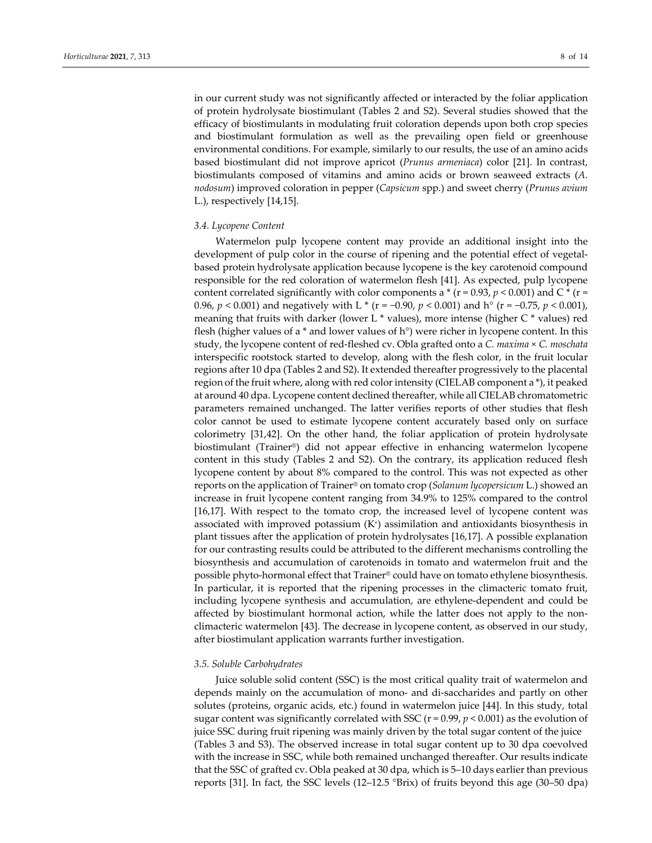in our current study was not significantly affected or interacted by the foliar application of protein hydrolysate biostimulant (Tables 2 and S2). Several studies showed that the efficacy of biostimulants in modulating fruit coloration depends upon both crop species and biostimulant formulation as well as the prevailing open field or greenhouse environmental conditions. For example, similarly to our results, the use of an amino acids based biostimulant did not improve apricot (*Prunus armeniaca*) color [21]. In contrast, biostimulants composed of vitamins and amino acids or brown seaweed extracts (*A. nodosum*) improved coloration in pepper (*Capsicum* spp*.*) and sweet cherry (*Prunus avium* L.), respectively [14,15].

## *3.4. Lycopene Content*

Watermelon pulp lycopene content may provide an additional insight into the development of pulp color in the course of ripening and the potential effect of vegetalbased protein hydrolysate application because lycopene is the key carotenoid compound responsible for the red coloration of watermelon flesh [41]. As expected, pulp lycopene content correlated significantly with color components a  $*(r = 0.93, p < 0.001)$  and C $*(r =$ 0.96, *p* < 0.001) and negatively with L \* (r = −0.90, *p* < 0.001) and h° (r = −0.75, *p* < 0.001), meaning that fruits with darker (lower L \* values), more intense (higher C \* values) red flesh (higher values of a  $*$  and lower values of  $h^{\circ}$ ) were richer in lycopene content. In this study, the lycopene content of red‐fleshed cv. Obla grafted onto a *C. maxima* × *C. moschata* interspecific rootstock started to develop, along with the flesh color, in the fruit locular regions after 10 dpa (Tables 2 and S2). It extended thereafter progressively to the placental region of the fruit where, along with red color intensity (CIELAB component a \*), it peaked at around 40 dpa. Lycopene content declined thereafter, while all CIELAB chromatometric parameters remained unchanged. The latter verifies reports of other studies that flesh color cannot be used to estimate lycopene content accurately based only on surface colorimetry [31,42]. On the other hand, the foliar application of protein hydrolysate biostimulant (Trainer®) did not appear effective in enhancing watermelon lycopene content in this study (Tables 2 and S2). On the contrary, its application reduced flesh lycopene content by about 8% compared to the control. This was not expected as other reports on the application of Trainer® on tomato crop (*Solanum lycopersicum* L.) showed an increase in fruit lycopene content ranging from 34.9% to 125% compared to the control [16,17]. With respect to the tomato crop, the increased level of lycopene content was associated with improved potassium  $(K<sup>+</sup>)$  assimilation and antioxidants biosynthesis in plant tissues after the application of protein hydrolysates [16,17]. A possible explanation for our contrasting results could be attributed to the different mechanisms controlling the biosynthesis and accumulation of carotenoids in tomato and watermelon fruit and the possible phyto‐hormonal effect that Trainer® could have on tomato ethylene biosynthesis. In particular, it is reported that the ripening processes in the climacteric tomato fruit, including lycopene synthesis and accumulation, are ethylene‐dependent and could be affected by biostimulant hormonal action, while the latter does not apply to the non‐ climacteric watermelon [43]. The decrease in lycopene content, as observed in our study, after biostimulant application warrants further investigation.

#### *3.5. Soluble Carbohydrates*

Juice soluble solid content (SSC) is the most critical quality trait of watermelon and depends mainly on the accumulation of mono‐ and di‐saccharides and partly on other solutes (proteins, organic acids, etc.) found in watermelon juice [44]. In this study, total sugar content was significantly correlated with SSC  $(r = 0.99, p < 0.001)$  as the evolution of juice SSC during fruit ripening was mainly driven by the total sugar content of the juice (Tables 3 and S3). The observed increase in total sugar content up to 30 dpa coevolved with the increase in SSC, while both remained unchanged thereafter. Our results indicate that the SSC of grafted cv. Obla peaked at 30 dpa, which is 5–10 days earlier than previous reports [31]. In fact, the SSC levels (12–12.5 °Brix) of fruits beyond this age (30–50 dpa)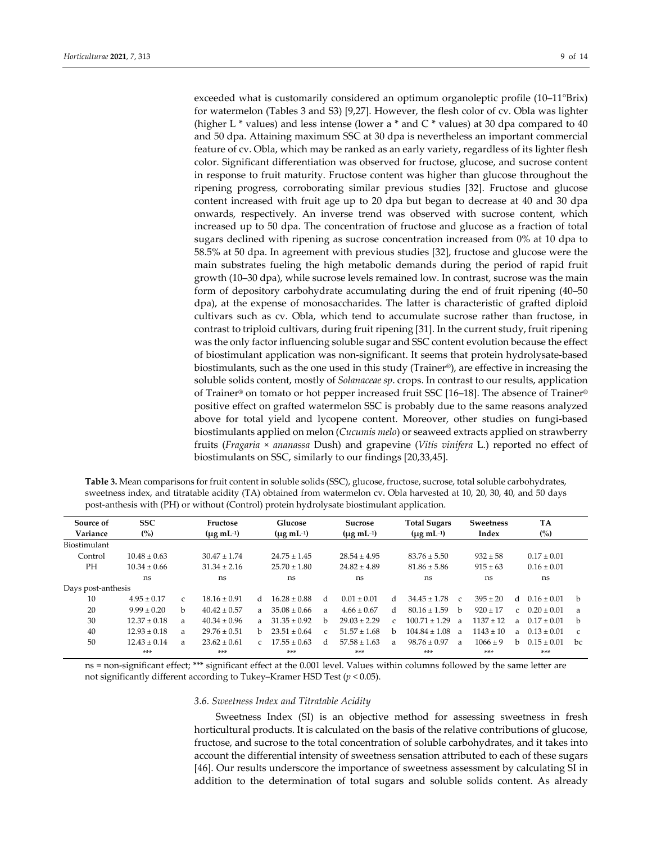exceeded what is customarily considered an optimum organoleptic profile (10–11°Brix) for watermelon (Tables 3 and S3) [9,27]. However, the flesh color of cv. Obla was lighter (higher L  $*$  values) and less intense (lower a  $*$  and C  $*$  values) at 30 dpa compared to 40 and 50 dpa. Attaining maximum SSC at 30 dpa is nevertheless an important commercial feature of cv. Obla, which may be ranked as an early variety, regardless of its lighter flesh color. Significant differentiation was observed for fructose, glucose, and sucrose content in response to fruit maturity. Fructose content was higher than glucose throughout the ripening progress, corroborating similar previous studies [32]. Fructose and glucose content increased with fruit age up to 20 dpa but began to decrease at 40 and 30 dpa onwards, respectively. An inverse trend was observed with sucrose content, which increased up to 50 dpa. The concentration of fructose and glucose as a fraction of total sugars declined with ripening as sucrose concentration increased from 0% at 10 dpa to 58.5% at 50 dpa. In agreement with previous studies [32], fructose and glucose were the main substrates fueling the high metabolic demands during the period of rapid fruit growth (10–30 dpa), while sucrose levels remained low. In contrast, sucrose was the main form of depository carbohydrate accumulating during the end of fruit ripening (40–50 dpa), at the expense of monosaccharides. The latter is characteristic of grafted diploid cultivars such as cv. Obla, which tend to accumulate sucrose rather than fructose, in contrast to triploid cultivars, during fruit ripening [31]. In the current study, fruit ripening was the only factor influencing soluble sugar and SSC content evolution because the effect of biostimulant application was non‐significant. It seems that protein hydrolysate‐based biostimulants, such as the one used in this study (Trainer®), are effective in increasing the soluble solids content, mostly of *Solanaceae sp*. crops. In contrast to our results, application of Trainer® on tomato or hot pepper increased fruit SSC [16–18]. The absence of Trainer® positive effect on grafted watermelon SSC is probably due to the same reasons analyzed above for total yield and lycopene content. Moreover, other studies on fungi‐based biostimulants applied on melon (*Cucumis melo*) or seaweed extracts applied on strawberry fruits (*Fragaria* × *ananassa* Dush) and grapevine (*Vitis vinifera* L.) reported no effect of biostimulants on SSC, similarly to our findings [20,33,45].

| Table 3. Mean comparisons for fruit content in soluble solids (SSC), glucose, fructose, sucrose, total soluble carbohydrates, |
|-------------------------------------------------------------------------------------------------------------------------------|
| sweetness index, and titratable acidity (TA) obtained from watermelon cv. Obla harvested at 10, 20, 30, 40, and 50 days       |
| post-anthesis with (PH) or without (Control) protein hydrolysate biostimulant application.                                    |

| Source of<br>Variance | <b>SSC</b><br>Fructose<br>$\binom{0}{0}$<br>$(\mu g \, mL^{-1})$ |               | Glucose<br>$(\mu g \, {\rm mL}^{-1})$ |               |                  | Sucrose<br>$(\mu g \, mL^{-1})$ |                  | <b>Total Sugars</b><br>$(\mu g \, mL^{-1})$ |                   | <b>Sweetness</b><br>Index |               | <b>TA</b><br>(%) |                 |               |
|-----------------------|------------------------------------------------------------------|---------------|---------------------------------------|---------------|------------------|---------------------------------|------------------|---------------------------------------------|-------------------|---------------------------|---------------|------------------|-----------------|---------------|
| Biostimulant          |                                                                  |               |                                       |               |                  |                                 |                  |                                             |                   |                           |               |                  |                 |               |
| Control               | $10.48 \pm 0.63$                                                 |               | $30.47 \pm 1.74$                      |               | $24.75 \pm 1.45$ |                                 | $28.54 \pm 4.95$ |                                             | $83.76 \pm 5.50$  |                           | $932 \pm 58$  |                  | $0.17 \pm 0.01$ |               |
| PH                    | $10.34 \pm 0.66$                                                 |               | $31.34 \pm 2.16$                      |               | $25.70 \pm 1.80$ |                                 | $24.82 \pm 4.89$ |                                             | $81.86 \pm 5.86$  |                           | $915 \pm 63$  |                  | $0.16 \pm 0.01$ |               |
|                       | ns                                                               |               | ns                                    |               | ns               |                                 | ns               |                                             | ns                |                           | ns            |                  | ns              |               |
| Days post-anthesis    |                                                                  |               |                                       |               |                  |                                 |                  |                                             |                   |                           |               |                  |                 |               |
| 10                    | $4.95 \pm 0.17$                                                  | $\mathcal{C}$ | $18.16 \pm 0.91$                      | d.            | $16.28 \pm 0.88$ | d                               | $0.01 \pm 0.01$  | <sub>d</sub>                                | $34.45 \pm 1.78$  | $\epsilon$                | $395 \pm 20$  | $\mathbf{d}$     | $0.16 \pm 0.01$ | $\mathbf{h}$  |
| 20                    | $9.99 \pm 0.20$                                                  | h             | $40.42 \pm 0.57$                      | a.            | $35.08 \pm 0.66$ | $\mathbf{a}$                    | $4.66 \pm 0.67$  | <sub>d</sub>                                | $80.16 \pm 1.59$  | h                         | $920 \pm 17$  | $\mathcal{C}$    | $0.20 \pm 0.01$ | a             |
| 30                    | $12.37 \pm 0.18$                                                 | a             | $40.34 \pm 0.96$                      | a             | $31.35 \pm 0.92$ | h                               | $29.03 \pm 2.29$ | $\mathcal{C}$                               | $100.71 \pm 1.29$ | $\overline{a}$            | $1137 \pm 12$ | $\mathbf{a}$     | $0.17 \pm 0.01$ | b             |
| 40                    | $12.93 \pm 0.18$                                                 | $\mathbf{a}$  | $29.76 \pm 0.51$                      | h.            | $23.51 \pm 0.64$ | $\epsilon$                      | $51.57 \pm 1.68$ | h                                           | $104.84 \pm 1.08$ | $\overline{a}$            | $1143 \pm 10$ | $\mathbf{a}$     | $0.13 \pm 0.01$ | $\mathcal{C}$ |
| 50                    | $12.43 \pm 0.14$                                                 | a             | $23.62 \pm 0.61$                      | $\mathcal{C}$ | $17.55 \pm 0.63$ | d                               | $57.58 \pm 1.63$ | $\mathbf{a}$                                | $98.76 \pm 0.97$  | a                         | $1066 \pm 9$  | h.               | $0.15 \pm 0.01$ | bc            |
|                       | ***                                                              |               | ***                                   |               | $***$            |                                 | $***$            |                                             | ***               |                           | $***$         |                  | ***             |               |

ns = non‐significant effect; \*\*\* significant effect at the 0.001 level. Values within columns followed by the same letter are not significantly different according to Tukey–Kramer HSD Test (*p* < 0.05).

#### *3.6. Sweetness Index and Titratable Acidity*

Sweetness Index (SI) is an objective method for assessing sweetness in fresh horticultural products. It is calculated on the basis of the relative contributions of glucose, fructose, and sucrose to the total concentration of soluble carbohydrates, and it takes into account the differential intensity of sweetness sensation attributed to each of these sugars [46]. Our results underscore the importance of sweetness assessment by calculating SI in addition to the determination of total sugars and soluble solids content. As already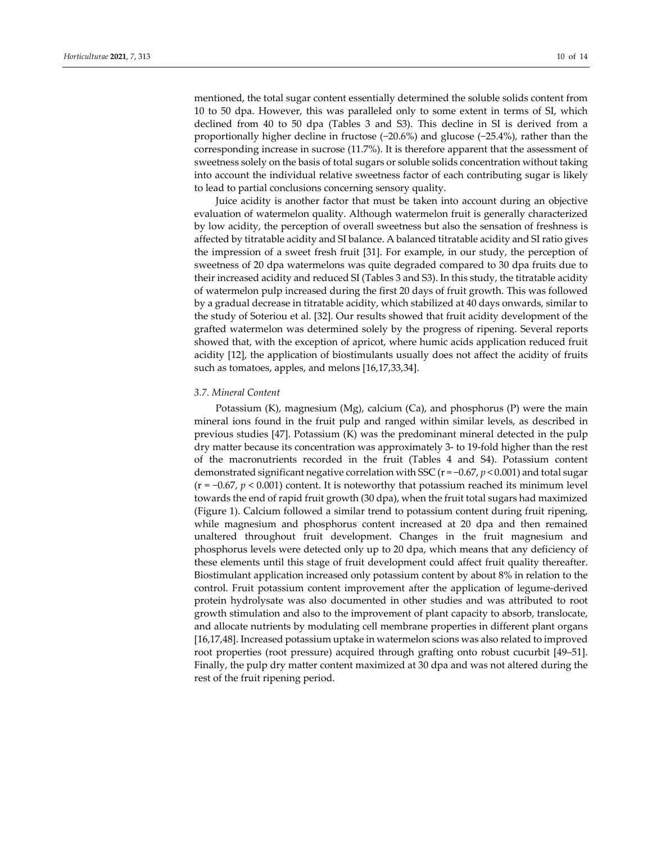mentioned, the total sugar content essentially determined the soluble solids content from 10 to 50 dpa. However, this was paralleled only to some extent in terms of SI, which declined from 40 to 50 dpa (Tables 3 and S3). This decline in SI is derived from a proportionally higher decline in fructose (−20.6%) and glucose (−25.4%), rather than the corresponding increase in sucrose (11.7%). It is therefore apparent that the assessment of sweetness solely on the basis of total sugars or soluble solids concentration without taking into account the individual relative sweetness factor of each contributing sugar is likely to lead to partial conclusions concerning sensory quality.

Juice acidity is another factor that must be taken into account during an objective evaluation of watermelon quality. Although watermelon fruit is generally characterized by low acidity, the perception of overall sweetness but also the sensation of freshness is affected by titratable acidity and SI balance. A balanced titratable acidity and SI ratio gives the impression of a sweet fresh fruit [31]. For example, in our study, the perception of sweetness of 20 dpa watermelons was quite degraded compared to 30 dpa fruits due to their increased acidity and reduced SI (Tables 3 and S3). In this study, the titratable acidity of watermelon pulp increased during the first 20 days of fruit growth. This was followed by a gradual decrease in titratable acidity, which stabilized at 40 days onwards, similar to the study of Soteriou et al. [32]. Our results showed that fruit acidity development of the grafted watermelon was determined solely by the progress of ripening. Several reports showed that, with the exception of apricot, where humic acids application reduced fruit acidity [12], the application of biostimulants usually does not affect the acidity of fruits such as tomatoes, apples, and melons [16,17,33,34].

## *3.7. Mineral Content*

Potassium (K), magnesium (Mg), calcium (Ca), and phosphorus (P) were the main mineral ions found in the fruit pulp and ranged within similar levels, as described in previous studies [47]. Potassium (K) was the predominant mineral detected in the pulp dry matter because its concentration was approximately 3‐ to 19‐fold higher than the rest of the macronutrients recorded in the fruit (Tables 4 and S4). Potassium content demonstrated significant negative correlation with SSC (r = −0.67, *p* < 0.001) and total sugar (r = −0.67, *p* < 0.001) content. It is noteworthy that potassium reached its minimum level towards the end of rapid fruit growth (30 dpa), when the fruit total sugars had maximized (Figure 1). Calcium followed a similar trend to potassium content during fruit ripening, while magnesium and phosphorus content increased at 20 dpa and then remained unaltered throughout fruit development. Changes in the fruit magnesium and phosphorus levels were detected only up to 20 dpa, which means that any deficiency of these elements until this stage of fruit development could affect fruit quality thereafter. Biostimulant application increased only potassium content by about 8% in relation to the control. Fruit potassium content improvement after the application of legume‐derived protein hydrolysate was also documented in other studies and was attributed to root growth stimulation and also to the improvement of plant capacity to absorb, translocate, and allocate nutrients by modulating cell membrane properties in different plant organs [16,17,48]. Increased potassium uptake in watermelon scions was also related to improved root properties (root pressure) acquired through grafting onto robust cucurbit [49–51]. Finally, the pulp dry matter content maximized at 30 dpa and was not altered during the rest of the fruit ripening period.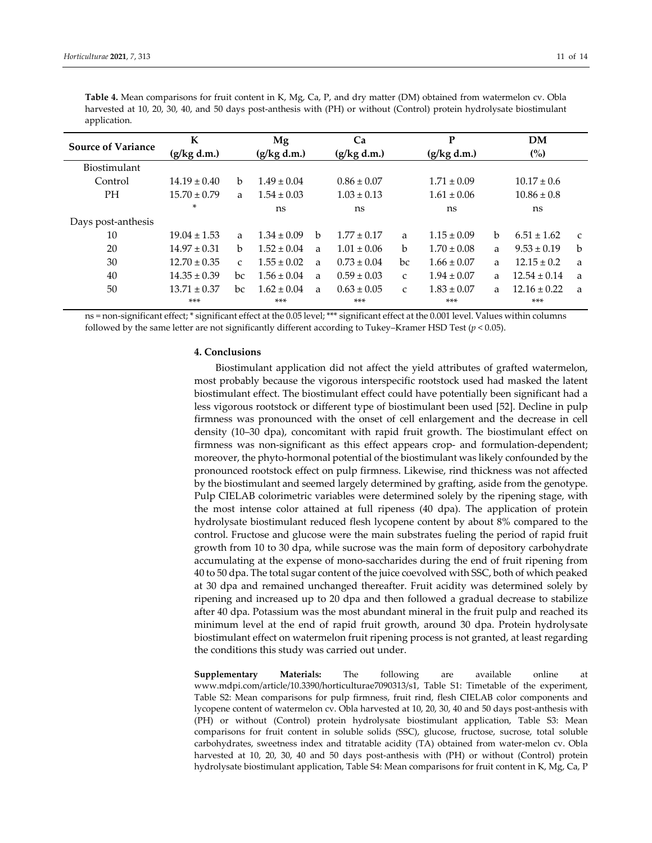| <b>Source of Variance</b> | K                |               | Mg              |   | Ca              |              | P               |   | <b>DM</b>        |               |  |
|---------------------------|------------------|---------------|-----------------|---|-----------------|--------------|-----------------|---|------------------|---------------|--|
|                           | (g/kg d.m.)      |               | (g/kg d.m.)     |   | (g/kg d.m.)     |              | (g/kg d.m.)     |   | $\binom{0}{0}$   |               |  |
| <b>Biostimulant</b>       |                  |               |                 |   |                 |              |                 |   |                  |               |  |
| Control                   | $14.19 \pm 0.40$ | h             | $1.49 \pm 0.04$ |   | $0.86 \pm 0.07$ |              | $1.71 \pm 0.09$ |   | $10.17 \pm 0.6$  |               |  |
| PH.                       | $15.70 \pm 0.79$ | a             | $1.54 \pm 0.03$ |   | $1.03 \pm 0.13$ |              | $1.61 \pm 0.06$ |   | $10.86 \pm 0.8$  |               |  |
|                           | *                |               | ns              |   | ns              |              | ns              |   | ns               |               |  |
| Days post-anthesis        |                  |               |                 |   |                 |              |                 |   |                  |               |  |
| 10                        | $19.04 \pm 1.53$ | a             | $1.34 \pm 0.09$ | b | $1.77 \pm 0.17$ | a            | $1.15 \pm 0.09$ | b | $6.51 \pm 1.62$  | $\mathcal{C}$ |  |
| 20                        | $14.97 \pm 0.31$ | b.            | $1.52 \pm 0.04$ | a | $1.01 \pm 0.06$ | b            | $1.70 \pm 0.08$ | a | $9.53 \pm 0.19$  | b             |  |
| 30                        | $12.70 \pm 0.35$ | $\mathcal{C}$ | $1.55 \pm 0.02$ | a | $0.73 \pm 0.04$ | bc           | $1.66 \pm 0.07$ | a | $12.15 \pm 0.2$  | a             |  |
| 40                        | $14.35 \pm 0.39$ | bc            | $1.56 \pm 0.04$ | a | $0.59 \pm 0.03$ | $\mathsf{C}$ | $1.94 \pm 0.07$ | a | $12.54 \pm 0.14$ | a             |  |
| 50                        | $13.71 \pm 0.37$ | bc            | $1.62 \pm 0.04$ | a | $0.63 \pm 0.05$ | $\mathsf{C}$ | $1.83 \pm 0.07$ | a | $12.16 \pm 0.22$ | a             |  |
|                           | ***              |               | $***$           |   | $***$           |              | $***$           |   | $***$            |               |  |

**Table 4.** Mean comparisons for fruit content in K, Mg, Ca, P, and dry matter (DM) obtained from watermelon cv. Obla harvested at 10, 20, 30, 40, and 50 days post-anthesis with (PH) or without (Control) protein hydrolysate biostimulant application.

ns = non‐significant effect; \* significant effect at the 0.05 level; \*\*\* significant effect at the 0.001 level. Values within columns followed by the same letter are not significantly different according to Tukey–Kramer HSD Test (*p* < 0.05).

## **4. Conclusions**

Biostimulant application did not affect the yield attributes of grafted watermelon, most probably because the vigorous interspecific rootstock used had masked the latent biostimulant effect. The biostimulant effect could have potentially been significant had a less vigorous rootstock or different type of biostimulant been used [52]. Decline in pulp firmness was pronounced with the onset of cell enlargement and the decrease in cell density (10–30 dpa), concomitant with rapid fruit growth. The biostimulant effect on firmness was non-significant as this effect appears crop- and formulation-dependent; moreover, the phyto-hormonal potential of the biostimulant was likely confounded by the pronounced rootstock effect on pulp firmness. Likewise, rind thickness was not affected by the biostimulant and seemed largely determined by grafting, aside from the genotype. Pulp CIELAB colorimetric variables were determined solely by the ripening stage, with the most intense color attained at full ripeness (40 dpa). The application of protein hydrolysate biostimulant reduced flesh lycopene content by about 8% compared to the control. Fructose and glucose were the main substrates fueling the period of rapid fruit growth from 10 to 30 dpa, while sucrose was the main form of depository carbohydrate accumulating at the expense of mono‐saccharides during the end of fruit ripening from 40 to 50 dpa. The total sugar content of the juice coevolved with SSC, both of which peaked at 30 dpa and remained unchanged thereafter. Fruit acidity was determined solely by ripening and increased up to 20 dpa and then followed a gradual decrease to stabilize after 40 dpa. Potassium was the most abundant mineral in the fruit pulp and reached its minimum level at the end of rapid fruit growth, around 30 dpa. Protein hydrolysate biostimulant effect on watermelon fruit ripening process is not granted, at least regarding the conditions this study was carried out under.

**Supplementary Materials:** The following are available online at www.mdpi.com/article/10.3390/horticulturae7090313/s1, Table S1: Timetable of the experiment, Table S2: Mean comparisons for pulp firmness, fruit rind, flesh CIELAB color components and lycopene content of watermelon cv. Obla harvested at 10, 20, 30, 40 and 50 days post‐anthesis with (PH) or without (Control) protein hydrolysate biostimulant application, Table S3: Mean comparisons for fruit content in soluble solids (SSC), glucose, fructose, sucrose, total soluble carbohydrates, sweetness index and titratable acidity (TA) obtained from water‐melon cv. Obla harvested at 10, 20, 30, 40 and 50 days post-anthesis with (PH) or without (Control) protein hydrolysate biostimulant application, Table S4: Mean comparisons for fruit content in K, Mg, Ca, P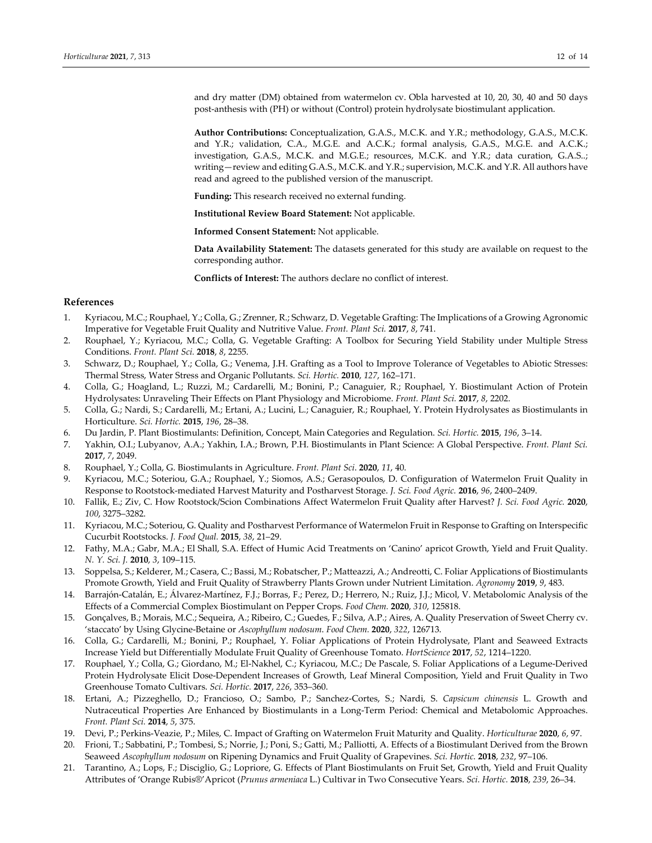and dry matter (DM) obtained from watermelon cv. Obla harvested at 10, 20, 30, 40 and 50 days post‐anthesis with (PH) or without (Control) protein hydrolysate biostimulant application.

**Author Contributions:** Conceptualization, G.A.S., M.C.K. and Y.R.; methodology, G.A.S., M.C.K. and Y.R.; validation, C.A., M.G.E. and A.C.K.; formal analysis, G.A.S., M.G.E. and A.C.K.; investigation, G.A.S., M.C.K. and M.G.E.; resources, M.C.K. and Y.R.; data curation, G.A.S..; writing—review and editing G.A.S., M.C.K. and Y.R.; supervision, M.C.K. and Y.R. All authors have read and agreed to the published version of the manuscript.

**Funding:** This research received no external funding.

**Institutional Review Board Statement:** Not applicable.

**Informed Consent Statement:** Not applicable.

**Data Availability Statement:** The datasets generated for this study are available on request to the corresponding author.

**Conflicts of Interest:** The authors declare no conflict of interest.

## **References**

- 1. Kyriacou, M.C.; Rouphael, Y.; Colla, G.; Zrenner, R.; Schwarz, D. Vegetable Grafting: The Implications of a Growing Agronomic Imperative for Vegetable Fruit Quality and Nutritive Value. *Front. Plant Sci.* **2017**, *8*, 741.
- 2. Rouphael, Y.; Kyriacou, M.C.; Colla, G. Vegetable Grafting: A Toolbox for Securing Yield Stability under Multiple Stress Conditions. *Front. Plant Sci.* **2018**, *8*, 2255.
- 3. Schwarz, D.; Rouphael, Y.; Colla, G.; Venema, J.H. Grafting as a Tool to Improve Tolerance of Vegetables to Abiotic Stresses: Thermal Stress, Water Stress and Organic Pollutants. *Sci. Hortic.* **2010**, *127*, 162–171.
- 4. Colla, G.; Hoagland, L.; Ruzzi, M.; Cardarelli, M.; Bonini, P.; Canaguier, R.; Rouphael, Y. Biostimulant Action of Protein Hydrolysates: Unraveling Their Effects on Plant Physiology and Microbiome. *Front. Plant Sci.* **2017**, *8*, 2202.
- 5. Colla, G.; Nardi, S.; Cardarelli, M.; Ertani, A.; Lucini, L.; Canaguier, R.; Rouphael, Y. Protein Hydrolysates as Biostimulants in Horticulture. *Sci. Hortic.* **2015**, *196*, 28–38.
- 6. Du Jardin, P. Plant Biostimulants: Definition, Concept, Main Categories and Regulation. *Sci. Hortic.* **2015**, *196*, 3–14.
- 7. Yakhin, O.I.; Lubyanov, A.A.; Yakhin, I.A.; Brown, P.H. Biostimulants in Plant Science: A Global Perspective. *Front. Plant Sci.* **2017**, *7*, 2049.
- 8. Rouphael, Y.; Colla, G. Biostimulants in Agriculture. *Front. Plant Sci*. **2020**, *11*, 40.
- 9. Kyriacou, M.C.; Soteriou, G.A.; Rouphael, Y.; Siomos, A.S.; Gerasopoulos, D. Configuration of Watermelon Fruit Quality in Response to Rootstock‐mediated Harvest Maturity and Postharvest Storage. *J. Sci. Food Agric.* **2016**, *96*, 2400–2409.
- 10. Fallik, E.; Ziv, C. How Rootstock/Scion Combinations Affect Watermelon Fruit Quality after Harvest? *J. Sci. Food Agric.* **2020**, *100*, 3275–3282.
- 11. Kyriacou, M.C.; Soteriou, G. Quality and Postharvest Performance of Watermelon Fruit in Response to Grafting on Interspecific Cucurbit Rootstocks. *J. Food Qual.* **2015**, *38*, 21–29.
- 12. Fathy, M.A.; Gabr, M.A.; El Shall, S.A. Effect of Humic Acid Treatments on 'Canino' apricot Growth, Yield and Fruit Quality. *N. Y. Sci. J.* **2010**, *3*, 109–115.
- 13. Soppelsa, S.; Kelderer, M.; Casera, C.; Bassi, M.; Robatscher, P.; Matteazzi, A.; Andreotti, C. Foliar Applications of Biostimulants Promote Growth, Yield and Fruit Quality of Strawberry Plants Grown under Nutrient Limitation. *Agronomy* **2019**, *9*, 483.
- 14. Barrajón‐Catalán, E.; Álvarez‐Martínez, F.J.; Borras, F.; Perez, D.; Herrero, N.; Ruiz, J.J.; Micol, V. Metabolomic Analysis of the Effects of a Commercial Complex Biostimulant on Pepper Crops. *Food Chem.* **2020**, *310*, 125818.
- 15. Gonçalves, B.; Morais, M.C.; Sequeira, A.; Ribeiro, C.; Guedes, F.; Silva, A.P.; Aires, A. Quality Preservation of Sweet Cherry cv. 'staccato' by Using Glycine‐Betaine or *Ascophyllum nodosum*. *Food Chem.* **2020**, *322*, 126713.
- 16. Colla, G.; Cardarelli, M.; Bonini, P.; Rouphael, Y. Foliar Applications of Protein Hydrolysate, Plant and Seaweed Extracts Increase Yield but Differentially Modulate Fruit Quality of Greenhouse Tomato. *HortScience* **2017**, *52*, 1214–1220.
- 17. Rouphael, Y.; Colla, G.; Giordano, M.; El‐Nakhel, C.; Kyriacou, M.C.; De Pascale, S. Foliar Applications of a Legume‐Derived Protein Hydrolysate Elicit Dose‐Dependent Increases of Growth, Leaf Mineral Composition, Yield and Fruit Quality in Two Greenhouse Tomato Cultivars. *Sci. Hortic.* **2017**, *226*, 353–360.
- 18. Ertani, A.; Pizzeghello, D.; Francioso, O.; Sambo, P.; Sanchez‐Cortes, S.; Nardi, S. *Capsicum chinensis* L. Growth and Nutraceutical Properties Are Enhanced by Biostimulants in a Long‐Term Period: Chemical and Metabolomic Approaches. *Front. Plant Sci.* **2014**, *5*, 375.
- 19. Devi, P.; Perkins‐Veazie, P.; Miles, C. Impact of Grafting on Watermelon Fruit Maturity and Quality. *Horticulturae* **2020**, *6*, 97.
- 20. Frioni, T.; Sabbatini, P.; Tombesi, S.; Norrie, J.; Poni, S.; Gatti, M.; Palliotti, A. Effects of a Biostimulant Derived from the Brown Seaweed *Ascophyllum nodosum* on Ripening Dynamics and Fruit Quality of Grapevines. *Sci. Hortic.* **2018**, *232*, 97–106.
- 21. Tarantino, A.; Lops, F.; Disciglio, G.; Lopriore, G. Effects of Plant Biostimulants on Fruit Set, Growth, Yield and Fruit Quality Attributes of 'Orange Rubis®'Apricot (*Prunus armeniaca* L.) Cultivar in Two Consecutive Years. *Sci. Hortic.* **2018**, *239*, 26–34.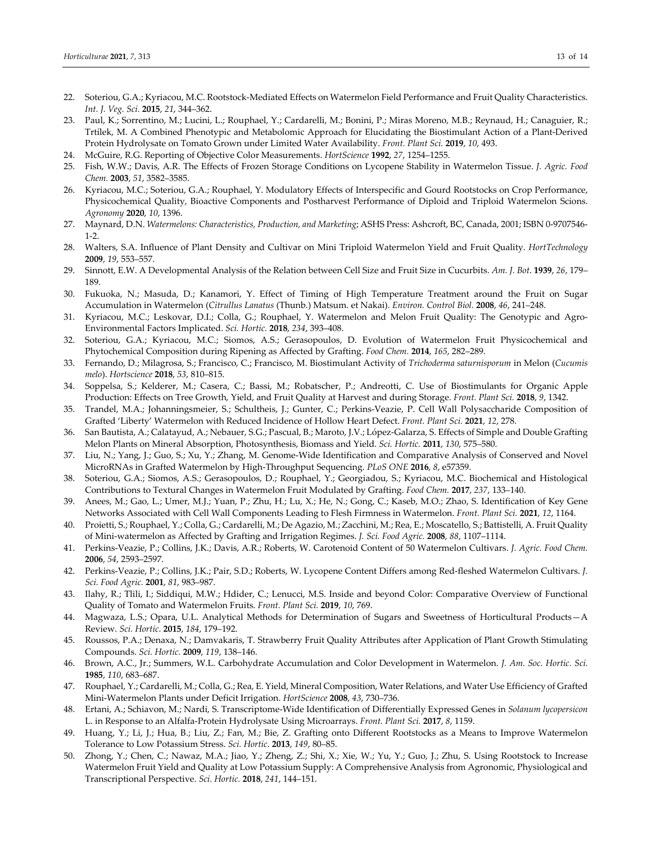- 22. Soteriou, G.A.; Kyriacou, M.C. Rootstock-Mediated Effects on Watermelon Field Performance and Fruit Quality Characteristics. *Int. J. Veg. Sci.* **2015**, *21*, 344–362.
- 23. Paul, K.; Sorrentino, M.; Lucini, L.; Rouphael, Y.; Cardarelli, M.; Bonini, P.; Miras Moreno, M.B.; Reynaud, H.; Canaguier, R.; Trtílek, M. A Combined Phenotypic and Metabolomic Approach for Elucidating the Biostimulant Action of a Plant‐Derived Protein Hydrolysate on Tomato Grown under Limited Water Availability. *Front. Plant Sci.* **2019**, *10*, 493.
- 24. McGuire, R.G. Reporting of Objective Color Measurements. *HortScience* **1992**, *27*, 1254–1255.
- 25. Fish, W.W.; Davis, A.R. The Effects of Frozen Storage Conditions on Lycopene Stability in Watermelon Tissue. *J. Agric. Food Chem.* **2003**, *51*, 3582–3585.
- 26. Kyriacou, M.C.; Soteriou, G.A.; Rouphael, Y. Modulatory Effects of Interspecific and Gourd Rootstocks on Crop Performance, Physicochemical Quality, Bioactive Components and Postharvest Performance of Diploid and Triploid Watermelon Scions. *Agronomy* **2020**, *10*, 1396.
- 27. Maynard, D.N. *Watermelons: Characteristics, Production, and Marketing*; ASHS Press: Ashcroft, BC, Canada, 2001; ISBN 0‐9707546‐  $1-2.$
- 28. Walters, S.A. Influence of Plant Density and Cultivar on Mini Triploid Watermelon Yield and Fruit Quality. *HortTechnology* **2009**, *19*, 553–557.
- 29. Sinnott, E.W. A Developmental Analysis of the Relation between Cell Size and Fruit Size in Cucurbits. *Am. J. Bot*. **1939**, *26*, 179– 189.
- 30. Fukuoka, N.; Masuda, D.; Kanamori, Y. Effect of Timing of High Temperature Treatment around the Fruit on Sugar Accumulation in Watermelon (*Citrullus Lanatus* (Thunb.) Matsum. et Nakai). *Environ. Control Biol.* **2008**, *46*, 241–248.
- 31. Kyriacou, M.C.; Leskovar, D.I.; Colla, G.; Rouphael, Y. Watermelon and Melon Fruit Quality: The Genotypic and Agro-Environmental Factors Implicated. *Sci. Hortic.* **2018**, *234*, 393–408.
- 32. Soteriou, G.A.; Kyriacou, M.C.; Siomos, A.S.; Gerasopoulos, D. Evolution of Watermelon Fruit Physicochemical and Phytochemical Composition during Ripening as Affected by Grafting. *Food Chem.* **2014**, *165*, 282–289.
- 33. Fernando, D.; Milagrosa, S.; Francisco, C.; Francisco, M. Biostimulant Activity of *Trichoderma saturnisporum* in Melon (*Cucumis melo*). *Hortscience* **2018**, *53*, 810–815.
- 34. Soppelsa, S.; Kelderer, M.; Casera, C.; Bassi, M.; Robatscher, P.; Andreotti, C. Use of Biostimulants for Organic Apple Production: Effects on Tree Growth, Yield, and Fruit Quality at Harvest and during Storage. *Front. Plant Sci.* **2018**, *9*, 1342.
- 35. Trandel, M.A.; Johanningsmeier, S.; Schultheis, J.; Gunter, C.; Perkins‐Veazie, P. Cell Wall Polysaccharide Composition of Grafted 'Liberty' Watermelon with Reduced Incidence of Hollow Heart Defect. *Front. Plant Sci.* **2021**, *12*, 278.
- 36. San Bautista, A.; Calatayud, A.; Nebauer, S.G.; Pascual, B.; Maroto, J.V.; López‐Galarza, S. Effects of Simple and Double Grafting Melon Plants on Mineral Absorption, Photosynthesis, Biomass and Yield. *Sci. Hortic.* **2011**, *130*, 575–580.
- 37. Liu, N.; Yang, J.; Guo, S.; Xu, Y.; Zhang, M. Genome-Wide Identification and Comparative Analysis of Conserved and Novel MicroRNAs in Grafted Watermelon by High‐Throughput Sequencing. *PLoS ONE* **2016**, *8*, e57359.
- 38. Soteriou, G.A.; Siomos, A.S.; Gerasopoulos, D.; Rouphael, Y.; Georgiadou, S.; Kyriacou, M.C. Biochemical and Histological Contributions to Textural Changes in Watermelon Fruit Modulated by Grafting. *Food Chem.* **2017**, *237*, 133–140.
- 39. Anees, M.; Gao, L.; Umer, M.J.; Yuan, P.; Zhu, H.; Lu, X.; He, N.; Gong, C.; Kaseb, M.O.; Zhao, S. Identification of Key Gene Networks Associated with Cell Wall Components Leading to Flesh Firmness in Watermelon. *Front. Plant Sci.* **2021**, *12*, 1164.
- 40. Proietti, S.; Rouphael, Y.; Colla, G.; Cardarelli, M.; De Agazio, M.; Zacchini, M.; Rea, E.; Moscatello, S.; Battistelli, A. Fruit Quality of Mini‐watermelon as Affected by Grafting and Irrigation Regimes. *J. Sci. Food Agric.* **2008**, *88*, 1107–1114.
- 41. Perkins‐Veazie, P.; Collins, J.K.; Davis, A.R.; Roberts, W. Carotenoid Content of 50 Watermelon Cultivars. *J. Agric. Food Chem.* **2006**, *54*, 2593–2597.
- 42. Perkins‐Veazie, P.; Collins, J.K.; Pair, S.D.; Roberts, W. Lycopene Content Differs among Red‐fleshed Watermelon Cultivars. *J. Sci. Food Agric.* **2001**, *81*, 983–987.
- 43. Ilahy, R.; Tlili, I.; Siddiqui, M.W.; Hdider, C.; Lenucci, M.S. Inside and beyond Color: Comparative Overview of Functional Quality of Tomato and Watermelon Fruits. *Front. Plant Sci.* **2019**, *10*, 769.
- 44. Magwaza, L.S.; Opara, U.L. Analytical Methods for Determination of Sugars and Sweetness of Horticultural Products—A Review. *Sci. Hortic*. **2015**, *184*, 179–192.
- 45. Roussos, P.A.; Denaxa, N.; Damvakaris, T. Strawberry Fruit Quality Attributes after Application of Plant Growth Stimulating Compounds. *Sci. Hortic.* **2009**, *119*, 138–146.
- 46. Brown, A.C., Jr.; Summers, W.L. Carbohydrate Accumulation and Color Development in Watermelon. *J. Am. Soc. Hortic. Sci.* **1985**, *110*, 683–687.
- 47. Rouphael, Y.; Cardarelli, M.; Colla, G.; Rea, E. Yield, Mineral Composition, Water Relations, and Water Use Efficiency of Grafted Mini‐Watermelon Plants under Deficit Irrigation. *HortScience* **2008**, *43*, 730–736.
- 48. Ertani, A.; Schiavon, M.; Nardi, S. Transcriptome‐Wide Identification of Differentially Expressed Genes in *Solanum lycopersicon* L. in Response to an Alfalfa‐Protein Hydrolysate Using Microarrays. *Front. Plant Sci.* **2017**, *8*, 1159.
- 49. Huang, Y.; Li, J.; Hua, B.; Liu, Z.; Fan, M.; Bie, Z. Grafting onto Different Rootstocks as a Means to Improve Watermelon Tolerance to Low Potassium Stress. *Sci. Hortic*. **2013**, *149*, 80–85.
- 50. Zhong, Y.; Chen, C.; Nawaz, M.A.; Jiao, Y.; Zheng, Z.; Shi, X.; Xie, W.; Yu, Y.; Guo, J.; Zhu, S. Using Rootstock to Increase Watermelon Fruit Yield and Quality at Low Potassium Supply: A Comprehensive Analysis from Agronomic, Physiological and Transcriptional Perspective. *Sci. Hortic.* **2018**, *241*, 144–151.